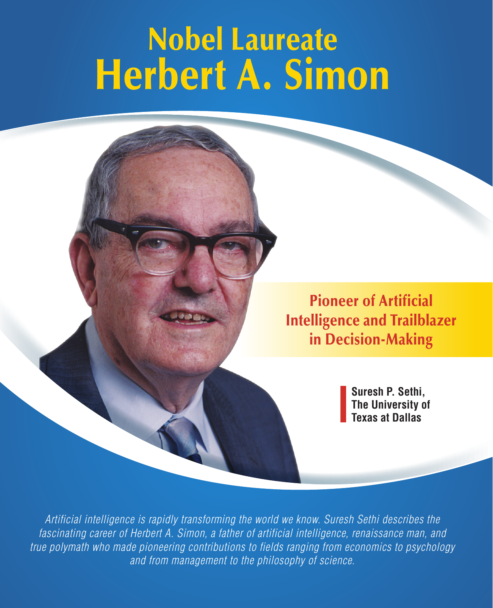# Nobel Laureate Herbert A. Simon

Pioneer of Artificial Intelligence and Trailblazer in Decision-Making

> **Suresh P. Sethi, The University of Texas at Dallas**

*Artificial intelligence is rapidly transforming the world we know. Suresh Sethi describes the fascinating career of Herbert A. Simon, a father of artificial intelligence, renaissance man, and true polymath who made pioneering contributions to fields ranging from economics to psychology and from management to the philosophy of science.*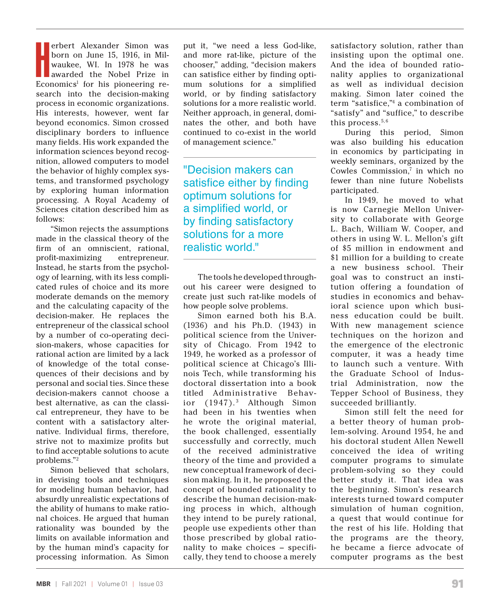erbert Alexander Simon was<br>born on June 15, 1916, in Mil-<br>waukee, WI. In 1978 he was<br>awarded the Nobel Prize in<br>Economics<sup>1</sup> for his pioneering reerbert Alexander Simon was born on June 15, 1916, in Milwaukee, WI. In 1978 he was awarded the Nobel Prize in search into the decision-making process in economic organizations. His interests, however, went far beyond economics. Simon crossed disciplinary borders to influence many fields. His work expanded the information sciences beyond recognition, allowed computers to model the behavior of highly complex systems, and transformed psychology by exploring human information processing. A Royal Academy of Sciences citation described him as follows:

"Simon rejects the assumptions made in the classical theory of the firm of an omniscient, rational, profit-maximizing entrepreneur. Instead, he starts from the psychology of learning, with its less complicated rules of choice and its more moderate demands on the memory and the calculating capacity of the decision-maker. He replaces the entrepreneur of the classical school by a number of co-operating decision-makers, whose capacities for rational action are limited by a lack of knowledge of the total consequences of their decisions and by personal and social ties. Since these decision-makers cannot choose a best alternative, as can the classical entrepreneur, they have to be content with a satisfactory alternative. Individual firms, therefore, strive not to maximize profits but to find acceptable solutions to acute problems."2

Simon believed that scholars, in devising tools and techniques for modeling human behavior, had absurdly unrealistic expectations of the ability of humans to make rational choices. He argued that human rationality was bounded by the limits on available information and by the human mind's capacity for processing information. As Simon

put it, "we need a less God-like, and more rat-like, picture of the chooser," adding, "decision makers can satisfice either by finding optimum solutions for a simplified world, or by finding satisfactory solutions for a more realistic world. Neither approach, in general, dominates the other, and both have continued to co-exist in the world of management science."

"Decision makers can satisfice either by finding optimum solutions for a simplified world, or by finding satisfactory solutions for a more realistic world."

The tools he developed throughout his career were designed to create just such rat-like models of how people solve problems.

Simon earned both his B.A. (1936) and his Ph.D. (1943) in political science from the University of Chicago. From 1942 to 1949, he worked as a professor of political science at Chicago's Illinois Tech, while transforming his doctoral dissertation into a book titled Administrative Behavior  $(1947).$ <sup>3</sup> Although Simon had been in his twenties when he wrote the original material, the book challenged, essentially successfully and correctly, much of the received administrative theory of the time and provided a new conceptual framework of decision making. In it, he proposed the concept of bounded rationality to describe the human decision-making process in which, although they intend to be purely rational, people use expedients other than those prescribed by global rationality to make choices – specifically, they tend to choose a merely

satisfactory solution, rather than insisting upon the optimal one. And the idea of bounded rationality applies to organizational as well as individual decision making. Simon later coined the term "satisfice,"4 a combination of "satisfy" and "suffice," to describe this process. $5, 6$ 

During this period, Simon was also building his education in economics by participating in weekly seminars, organized by the Cowles Commission,<sup>7</sup> in which no fewer than nine future Nobelists participated.

In 1949, he moved to what is now Carnegie Mellon University to collaborate with George L. Bach, William W. Cooper, and others in using W. L. Mellon's gift of \$5 million in endowment and \$1 million for a building to create a new business school. Their goal was to construct an institution offering a foundation of studies in economics and behavioral science upon which business education could be built. With new management science techniques on the horizon and the emergence of the electronic computer, it was a heady time to launch such a venture. With the Graduate School of Industrial Administration, now the Tepper School of Business, they succeeded brilliantly.

Simon still felt the need for a better theory of human problem-solving. Around 1954, he and his doctoral student Allen Newell conceived the idea of writing computer programs to simulate problem-solving so they could better study it. That idea was the beginning. Simon's research interests turned toward computer simulation of human cognition, a quest that would continue for the rest of his life. Holding that the programs are the theory, he became a fierce advocate of computer programs as the best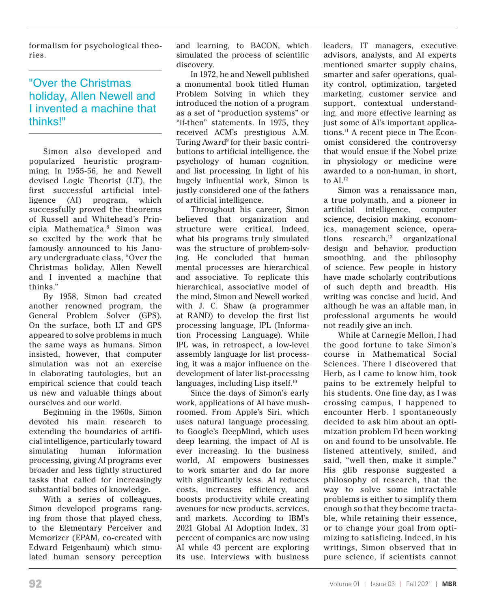formalism for psychological theories.

# "Over the Christmas holiday, Allen Newell and I invented a machine that thinks!"

Simon also developed and popularized heuristic programming. In 1955-56, he and Newell devised Logic Theorist (LT), the first successful artificial intelligence (AI) program, which successfully proved the theorems of Russell and Whitehead's Principia Mathematica.8 Simon was so excited by the work that he famously announced to his January undergraduate class, "Over the Christmas holiday, Allen Newell and I invented a machine that thinks."

By 1958, Simon had created another renowned program, the General Problem Solver (GPS). On the surface, both LT and GPS appeared to solve problems in much the same ways as humans. Simon insisted, however, that computer simulation was not an exercise in elaborating tautologies, but an empirical science that could teach us new and valuable things about ourselves and our world.

Beginning in the 1960s, Simon devoted his main research to extending the boundaries of artificial intelligence, particularly toward simulating human information processing, giving AI programs ever broader and less tightly structured tasks that called for increasingly substantial bodies of knowledge.

With a series of colleagues, Simon developed programs ranging from those that played chess, to the Elementary Perceiver and Memorizer (EPAM, co-created with Edward Feigenbaum) which simulated human sensory perception and learning, to BACON, which simulated the process of scientific discovery.

In 1972, he and Newell published a monumental book titled Human Problem Solving in which they introduced the notion of a program as a set of "production systems" or "if-then" statements. In 1975, they received ACM's prestigious A.M. Turing Award<sup>9</sup> for their basic contributions to artificial intelligence, the psychology of human cognition, and list processing. In light of his hugely influential work, Simon is justly considered one of the fathers of artificial intelligence.

Throughout his career, Simon believed that organization and structure were critical. Indeed, what his programs truly simulated was the structure of problem-solving. He concluded that human mental processes are hierarchical and associative. To replicate this hierarchical, associative model of the mind, Simon and Newell worked with J. C. Shaw (a programmer at RAND) to develop the first list processing language, IPL (Information Processing Language). While IPL was, in retrospect, a low-level assembly language for list processing, it was a major influence on the development of later list-processing languages, including Lisp itself.10

Since the days of Simon's early work, applications of AI have mushroomed. From Apple's Siri, which uses natural language processing, to Google's DeepMind, which uses deep learning, the impact of AI is ever increasing. In the business world, AI empowers businesses to work smarter and do far more with significantly less. AI reduces costs, increases efficiency, and boosts productivity while creating avenues for new products, services, and markets. According to IBM's 2021 Global AI Adoption Index, 31 percent of companies are now using AI while 43 percent are exploring its use. Interviews with business leaders, IT managers, executive advisors, analysts, and AI experts mentioned smarter supply chains, smarter and safer operations, quality control, optimization, targeted marketing, customer service and support, contextual understanding, and more effective learning as just some of AI's important applications.11 A recent piece in The Economist considered the controversy that would ensue if the Nobel prize in physiology or medicine were awarded to a non-human, in short, to  $AI.^{12}$ 

Simon was a renaissance man, a true polymath, and a pioneer in artificial intelligence, computer science, decision making, economics, management science, operations  $research<sub>13</sub>$  organizational design and behavior, production smoothing, and the philosophy of science. Few people in history have made scholarly contributions of such depth and breadth. His writing was concise and lucid. And although he was an affable man, in professional arguments he would not readily give an inch.

While at Carnegie Mellon, I had the good fortune to take Simon's course in Mathematical Social Sciences. There I discovered that Herb, as I came to know him, took pains to be extremely helpful to his students. One fine day, as I was crossing campus, I happened to encounter Herb. I spontaneously decided to ask him about an optimization problem I'd been working on and found to be unsolvable. He listened attentively, smiled, and said, "well then, make it simple." His glib response suggested a philosophy of research, that the way to solve some intractable problems is either to simplify them enough so that they become tractable, while retaining their essence, or to change your goal from optimizing to satisficing. Indeed, in his writings, Simon observed that in pure science, if scientists cannot